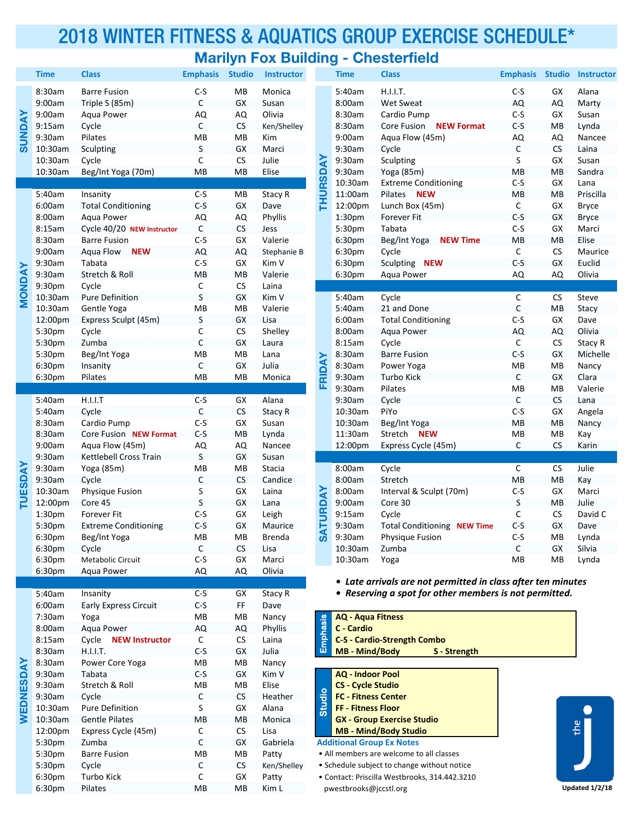## 2018 WINTER FITNESS & AQUATICS GROUP EXERCISE SCHEDULE\* **Marilyn Fox Building - Chesterfield**

|                |                    |                                |                 |                      | mangu nya Panang  |             |                            | <u>UNUUUN MUU</u>                                            |                 |               |               |
|----------------|--------------------|--------------------------------|-----------------|----------------------|-------------------|-------------|----------------------------|--------------------------------------------------------------|-----------------|---------------|---------------|
|                | <b>Time</b>        | <b>Class</b>                   | <b>Emphasis</b> | <b>Studio</b>        | <b>Instructor</b> |             | <b>Time</b>                | <b>Class</b>                                                 | <b>Emphasis</b> | <b>Studio</b> | <b>Instru</b> |
| <b>SUNDAY</b>  | 8:30am             | <b>Barre Fusion</b>            | $C-S$           | MB                   | Monica            |             | 5:40am                     | H.I.I.T.                                                     | $C-S$           | GX            | Alana         |
|                | 9:00am             | Triple S (85m)                 | C               | GX                   | Susan             |             | 8:00am                     | <b>Wet Sweat</b>                                             | AQ              | AQ            | Marty         |
|                | 9:00am             | Aqua Power                     | AQ              | AQ                   | Olivia            |             | 8:30am                     | Cardio Pump                                                  | $C-S$           | GX            | Susan         |
|                | 9:15am             | Cycle                          | $\mathsf C$     | <b>CS</b>            | Ken/Shelley       |             | 8:30am                     | <b>NEW Format</b><br>Core Fusion                             | $C-S$           | MB            | Lynda         |
|                | 9:30am             | Pilates                        | MB              | MB                   | Kim               |             | 9:00am                     | Aqua Flow (45m)                                              | AQ              | AQ            | Nance         |
|                | 10:30am            | Sculpting                      | S               | GX                   | Marci             |             | 9:30am                     | Cycle                                                        | C               | ${\sf CS}$    | Laina         |
|                | 10:30am            | Cycle                          | C               | $\mathsf{CS}\xspace$ | Julie             |             | 9:30am                     | Sculpting                                                    | S               | GX            | Susan         |
|                | 10:30am            | Beg/Int Yoga (70m)             | MB              | MB                   | Elise             |             | 9:30am                     | Yoga (85m)                                                   | MB              | MB            | Sandr         |
|                |                    |                                |                 |                      |                   | THURSDAY    | 10:30am                    | <b>Extreme Conditioning</b>                                  | $C-S$           | GX            | Lana          |
|                | 5:40am             | Insanity                       | $C-S$           | MB                   | Stacy R           |             | 11:00am                    | Pilates NEW                                                  | MВ              | MB            | Priscil       |
|                | 6:00am             | <b>Total Conditioning</b>      | $C-S$           | GX                   | Dave              |             | 12:00pm                    | Lunch Box (45m)                                              | C               | GX            | <b>Bryce</b>  |
|                | 8:00am             | Aqua Power                     | AQ              | AQ                   | Phyllis           |             | 1:30pm                     | Forever Fit                                                  | $C-S$           | GX            | <b>Bryce</b>  |
|                | 8:15am             | Cycle 40/20 NEW Instructor     | $\mathsf C$     | <b>CS</b>            | Jess              |             | 5:30pm                     | Tabata                                                       | $C-S$           | GX            | Marci         |
|                | 8:30am             | <b>Barre Fusion</b>            | $C-S$           | GX                   | Valerie           |             | 6:30pm                     | Beg/Int Yoga<br><b>NEW Time</b>                              | MB              | <b>MB</b>     | Elise         |
|                | 9:00am             | Aqua Flow NEW                  | AQ              | AQ                   | Stephanie B       |             | 6:30pm                     | Cycle                                                        | С               | CS            | Mauri         |
|                | 9:30am             | Tabata                         | $C-S$           | GX                   | Kim V             |             | 6:30pm                     | Sculpting NEW                                                | $C-S$           | GX            | Euclid        |
|                | 9:30am             | Stretch & Roll                 | MB              | MB                   | Valerie           |             | 6:30pm                     | Aqua Power                                                   | AQ              | AQ            | Olivia        |
| <b>MONDAY</b>  | 9:30pm             | Cycle                          | C               | <b>CS</b>            | Laina             |             |                            |                                                              |                 |               |               |
|                | 10:30am            | Pure Definition                | S               | GX                   | Kim V             |             | 5:40am                     | Cycle                                                        | C               | <b>CS</b>     | Steve         |
|                | 10:30am            | Gentle Yoga                    | MB              | MB                   | Valerie           |             | 5:40am                     | 21 and Done                                                  | $\mathsf C$     | MB            | Stacy         |
|                | 12:00pm            | Express Sculpt (45m)           | S               | GX                   | Lisa              |             | 6:00am                     | <b>Total Conditioning</b>                                    | $C-S$           | GX            | Dave          |
|                | 5:30pm             | Cycle                          | С               | <b>CS</b>            | Shelley           |             | 8:00am                     | Aqua Power                                                   | AQ              | AQ            | Olivia        |
|                | 5:30pm             | Zumba                          | $\mathsf{C}$    | GX                   | Laura             |             | 8:15am                     | Cycle                                                        | C               | <b>CS</b>     | Stacy         |
|                | 5:30pm             | Beg/Int Yoga                   | MB              | MB                   | Lana              |             | 8:30am                     | <b>Barre Fusion</b>                                          | $C-S$           | GX            | Miche         |
|                | 6:30pm             | Insanity                       | C               | GX                   | Julia             | FRIDAY      | 8:30am                     | Power Yoga                                                   | MB              | MB            | Nancy         |
|                | 6:30pm             | Pilates                        | MB              | MB                   | Monica            |             | 9:30am                     | Turbo Kick                                                   | C               | GX            | Clara         |
|                |                    |                                |                 |                      |                   |             | 9:30am                     | Pilates                                                      | MB              | MB            | Valeri        |
|                | 5:40am             | H.I.I.T                        | $C-S$           | GX                   | Alana             |             | 9:30am                     | Cycle                                                        | С               | ${\sf CS}$    | Lana          |
|                | 5:40am             | Cycle                          | $\mathsf C$     | ${\sf CS}$           | Stacy R           |             | 10:30am                    | PiYo                                                         | $C-S$           | GX            | Angel         |
|                | 8:30am             | Cardio Pump                    | $C-S$           | GX                   | Susan             |             | 10:30am                    | Beg/Int Yoga                                                 | MB              | MВ            | Nancy         |
|                | 8:30am             | Core Fusion NEW Format         | $C-S$           | MB                   | Lynda             |             | 11:30am                    | Stretch<br><b>NEW</b>                                        | MB              | MB            | Kay           |
|                | 9:00am             | Aqua Flow (45m)                | AQ              | AQ                   | Nancee            |             | 12:00pm                    | Express Cycle (45m)                                          | C               | <b>CS</b>     | Karin         |
|                | 9:30am             | Kettlebell Cross Train         | S               | GX                   | Susan             |             |                            |                                                              |                 |               |               |
|                | 9:30am             | Yoga (85m)                     | MB              | MB                   | Stacia            |             | 8:00am                     | Cycle                                                        | C               | <b>CS</b>     | Julie         |
| <b>TUESDAY</b> | 9:30am             | Cycle                          | $\mathsf{C}$    | <b>CS</b>            | Candice           |             | 8:00am                     | Stretch                                                      | MB              | MB            | Kay           |
|                | 10:30am            | Physique Fusion                | S               | GX                   | Laina             |             | 8:00am                     | Interval & Sculpt (70m)                                      | $C-S$           | GX            | Marci         |
|                | 12:00pm            | Core 45                        | S               | GX                   | Lana              | <b>RDAY</b> | 9:00am                     | Core 30                                                      | S               | MB            | Julie         |
|                | 1:30 <sub>pm</sub> | <b>Forever Fit</b>             | $C-S$           | GX                   | Leigh             |             | 9:15am                     | Cycle                                                        | C               | CS            | David         |
|                | 5:30pm             | <b>Extreme Conditioning</b>    | $C-S$           | GX                   | Maurice           | ⋑           | 9:30am                     | Total Conditioning NEW Time                                  | $C-S$           | GX            | Dave          |
|                | 6:30pm             | Beg/Int Yoga                   | MВ              | MВ                   | Brenda            | ഗ           | 9:30am                     | Physique Fusion                                              | $C-S$           | MВ            | Lynda         |
|                | 6:30pm             | Cycle                          | C               | <b>CS</b>            | Lisa              |             | 10:30am                    | Zumba                                                        | C               | GX            | Silvia        |
|                | 6:30pm             | Metabolic Circuit              | $C-S$           | GX                   | Marci             |             | 10:30am                    | Yoga                                                         | MВ              | MB            | Lynda         |
|                | 6:30pm             | Aqua Power                     | AQ              | AQ                   | Olivia            |             |                            |                                                              |                 |               |               |
|                |                    |                                |                 |                      |                   |             |                            | • Late arrivals are not permitted in class after ten minutes |                 |               |               |
|                | 5:40am             | Insanity                       | $C-S$           | GX                   | Stacy R           |             |                            | • Reserving a spot for other members is not permitted.       |                 |               |               |
|                | 6:00am             | <b>Early Express Circuit</b>   | $C-S$           | FF                   | Dave              |             |                            |                                                              |                 |               |               |
|                | 7:30am             | Yoga                           | MB              | MB                   | Nancy             |             | <b>AQ - Aqua Fitness</b>   |                                                              |                 |               |               |
|                | 8:00am             | Agua Power                     | AQ              | AQ                   | Phyllis           | Emphasis    | C - Cardio                 |                                                              |                 |               |               |
|                | 8:15am             | Cycle<br><b>NEW Instructor</b> | C               | <b>CS</b>            | Laina             |             |                            | <b>C-S - Cardio-Strength Combo</b>                           |                 |               |               |
|                | 8:30am             | H.I.I.T.                       | $C-S$           | GX                   | Julia             |             | <b>MB</b> - Mind/Body      | S - Strength                                                 |                 |               |               |
|                | 8:30am             | Power Core Yoga                | МB              | MB                   | Nancy             |             |                            |                                                              |                 |               |               |
|                | 9:30am             | Tabata                         | $C-S$           | GX                   | Kim V             |             | <b>AQ - Indoor Pool</b>    |                                                              |                 |               |               |
|                | 9:30am             | Stretch & Roll                 | MB              | MB                   | Elise             |             | <b>CS - Cycle Studio</b>   |                                                              |                 |               |               |
| WEDNESDAY      | 9:30am             | Cycle                          | C               | <b>CS</b>            | Heather           | Studio      | <b>FC - Fitness Center</b> |                                                              |                 |               |               |
|                | 10:30am            | Pure Definition                | S               | GX                   | Alana             |             | FF - Fitness Floor         |                                                              |                 |               |               |
|                | 10:30am            | <b>Gentle Pilates</b>          | MB              | MB                   | Monica            |             |                            | <b>GX - Group Exercise Studio</b>                            |                 |               |               |
|                | 12:00pm            | Express Cycle (45m)            | C               | <b>CS</b>            | Lisa              |             |                            | <b>MB - Mind/Body Studio</b>                                 |                 |               | the           |
|                | 5:30pm             | Zumba                          | C               | GX                   | Gabriela          |             |                            | <b>Additional Group Ex Notes</b>                             |                 |               |               |
|                | 5:30pm             | <b>Barre Fusion</b>            | MB              | MB                   | Patty             |             |                            | • All members are welcome to all classes                     |                 |               |               |
|                | 5:30pm             | Cycle                          | $\mathsf C$     | <b>CS</b>            | Ken/Shelley       |             |                            | • Schedule subject to change without notice                  |                 |               |               |
|                | 6:30pm             | Turbo Kick                     | C               | GX                   | Patty             |             |                            | · Contact: Priscilla Westbrooks, 314.442.3210                |                 |               |               |
|                | 6:30 <sub>pm</sub> | Pilates                        | <b>MB</b>       | MB.                  | Kim L             |             | nwestbrooks@iccstl.org     |                                                              |                 |               | Updated 1/2   |

| Time               | <b>Class</b>                | <b>Emphasis</b> | <b>Studio</b> | <b>Instructor</b> |          | <b>Time</b>        | <b>Class</b>                     | <b>Emphasis</b> |           | <b>Studio Instructor</b> |
|--------------------|-----------------------------|-----------------|---------------|-------------------|----------|--------------------|----------------------------------|-----------------|-----------|--------------------------|
| 8:30am             | <b>Barre Fusion</b>         | $C-S$           | MB            | Monica            |          | 5:40am             | H.I.I.T.                         | $C-S$           | GX        | Alana                    |
| 9:00am             | Triple S (85m)              | $\mathsf C$     | GX            | Susan             |          | 8:00am             | Wet Sweat                        | AQ              | AQ        | Marty                    |
| 9:00am             | Aqua Power                  | AQ              | AQ            | Olivia            |          | 8:30am             | Cardio Pump                      | $C-S$           | GX        | Susan                    |
| 9:15am             | Cycle                       | $\mathsf C$     | <b>CS</b>     | Ken/Shelley       |          | 8:30am             | <b>NEW Format</b><br>Core Fusion | $C-S$           | MB        | Lynda                    |
| 9:30am             | Pilates                     | MB              | MB            | Kim               |          | 9:00am             | Aqua Flow (45m)                  | AQ              | AQ        | Nancee                   |
| 10:30am            | Sculpting                   | S               | GX            | Marci             |          | 9:30am             | Cycle                            | $\mathsf C$     | CS        | Laina                    |
| 10:30am            | Cycle                       | C               | CS            | Julie             |          | 9:30am             | Sculpting                        | S               | GX        | Susan                    |
| 10:30am            | Beg/Int Yoga (70m)          | MB              | MB            | Elise             | THURSDAY | 9:30am             | Yoga (85m)                       | MB              | MВ        | Sandra                   |
|                    |                             |                 |               |                   |          | 10:30am            | <b>Extreme Conditioning</b>      | $C-S$           | GX        | Lana                     |
| 5:40am             | Insanity                    | $C-S$           | MB            | Stacy R           |          | 11:00am            | Pilates<br><b>NEW</b>            | MB              | MВ        | Priscilla                |
| 6:00am             | <b>Total Conditioning</b>   | $C-S$           | GX            | Dave              |          | 12:00pm            | Lunch Box (45m)                  | C               | GX        | <b>Bryce</b>             |
| 8:00am             | Agua Power                  | AQ              | AQ            | Phyllis           |          | 1:30 <sub>pm</sub> | <b>Forever Fit</b>               | $C-S$           | GX        | <b>Bryce</b>             |
| 8:15am             | Cycle 40/20 NEW Instructor  | $\mathsf C$     | <b>CS</b>     | Jess              |          | 5:30pm             | Tabata                           | $C-S$           | GX        | Marci                    |
| 8:30am             | <b>Barre Fusion</b>         | $C-S$           | GX            | Valerie           |          | 6:30pm             | Beg/Int Yoga<br><b>NEW Time</b>  | MB              | MB        | Elise                    |
| 9:00am             | Agua Flow<br><b>NEW</b>     | AQ              | AQ            | Stephanie B       |          | 6:30pm             | Cycle                            | $\mathsf C$     | CS        | Maurice                  |
| 9:30am             | Tabata                      | $C-S$           | GX            | Kim V             |          | 6:30pm             | Sculpting NEW                    | $C-S$           | GX        | Euclid                   |
| 9:30am             | Stretch & Roll              | <b>MB</b>       | MB            | Valerie           |          | 6:30pm             | Aqua Power                       | AQ              | AQ        | Olivia                   |
| 9:30pm             | Cycle                       | $\mathsf C$     | CS            | Laina             |          |                    |                                  |                 |           |                          |
| 10:30am            | <b>Pure Definition</b>      | S               | GX            | Kim V             |          | 5:40am             | Cycle                            | $\mathsf C$     | CS        | Steve                    |
| 10:30am            | Gentle Yoga                 | MB              | MB            | Valerie           |          | 5:40am             | 21 and Done                      | $\mathsf C$     | MВ        | Stacy                    |
| 12:00pm            | Express Sculpt (45m)        | S               | GX            | Lisa              |          | 6:00am             | <b>Total Conditioning</b>        | $C-S$           | GX        | Dave                     |
| 5:30pm             | Cycle                       | С               | <b>CS</b>     | Shelley           |          | 8:00am             | Aqua Power                       | AQ              | AQ        | Olivia                   |
| 5:30pm             | Zumba                       | $\mathsf C$     | GX            | Laura             |          | 8:15am             | Cycle                            | C               | <b>CS</b> | Stacy R                  |
| 5:30pm             | Beg/Int Yoga                | MB              | <b>MB</b>     | Lana              |          | 8:30am             | <b>Barre Fusion</b>              | $C-S$           | GX        | Michelle                 |
| 6:30pm             | Insanity                    | C               | GX            | Julia             |          | 8:30am             | Power Yoga                       | MB              | MB        | Nancy                    |
| 6:30pm             | Pilates                     | <b>MB</b>       | MB            | Monica            | FRIDAY   | 9:30am             | <b>Turbo Kick</b>                | C               | GX        | Clara                    |
|                    |                             |                 |               |                   |          | 9:30am             | Pilates                          | MB              | MB        | Valerie                  |
| 5:40am             | H.I.I.T                     | $C-S$           | <b>GX</b>     | Alana             |          | 9:30am             | Cycle                            | C               | <b>CS</b> | Lana                     |
| 5:40am             | Cycle                       | $\mathsf C$     | CS            | Stacy R           |          | 10:30am            | PiYo                             | $C-S$           | GX        | Angela                   |
| 8:30am             | Cardio Pump                 | $C-S$           | GX            | Susan             |          | 10:30am            | Beg/Int Yoga                     | MB              | MB        | Nancy                    |
| 8:30am             | Core Fusion NEW Format      | $C-S$           | MB            | Lynda             |          | 11:30am            | Stretch NEW                      | MB              | MB        | Kay                      |
| 9:00am             | Agua Flow (45m)             | AQ              | AQ            | Nancee            |          | 12:00pm            | Express Cycle (45m)              | C               | CS        | Karin                    |
| 9:30am             | Kettlebell Cross Train      | S               | GX            | Susan             |          |                    |                                  |                 |           |                          |
| 9:30am             | Yoga (85m)                  | MB              | MB            | Stacia            |          | 8:00am             | Cycle                            | C               | <b>CS</b> | Julie                    |
| 9:30am             | Cycle                       | C               | <b>CS</b>     | Candice           |          | 8:00am             | Stretch                          | MB              | MB        | Kay                      |
| 10:30am            | <b>Physique Fusion</b>      | S               | GX            | Laina             |          | 8:00am             | Interval & Sculpt (70m)          | $C-S$           | GX        | Marci                    |
| 12:00pm            | Core 45                     | S               | GX            | Lana              |          | 9:00am             | Core 30                          | S               | MВ        | Julie                    |
| 1:30 <sub>pm</sub> | <b>Forever Fit</b>          | $C-S$           | GX            | Leigh             |          | 9:15am             | Cycle                            | C               | <b>CS</b> | David C                  |
| 5:30pm             | <b>Extreme Conditioning</b> | $C-S$           | GX            | Maurice           | SATURDAY | 9:30am             | Total Conditioning NEW Time      | $C-S$           | GX        | Dave                     |
| 6:30pm             | Beg/Int Yoga                | MB              | MB            | <b>Brenda</b>     |          | 9:30am             | <b>Physique Fusion</b>           | $C-S$           | MB        | Lynda                    |
| 6:30pm             | Cycle                       | $\mathsf{C}$    | <b>CS</b>     | Lisa              |          | 10:30am            | Zumba                            | $\mathsf{C}$    | GX        | Silvia                   |
| 6:30pm             | <b>Metabolic Circuit</b>    | $C-S$           | GX            | Marci             |          | 10:30am            | Yoga                             | MB              | MB        | Lynda                    |
|                    |                             |                 |               |                   |          |                    |                                  |                 |           |                          |

| hasis          | <b>AQ - Aqua Fitness</b><br>C - Cardio |              |
|----------------|----------------------------------------|--------------|
| $\overline{e}$ | C-S - Cardio-Strength Combo            |              |
| 画              | MB - Mind/Body                         | S - Strength |

## 5:30pm Zumba C GX Gabriela **Additional Group Ex Notes**

- All members are welcome to all classes
- Schedule subject to change without notice
- Contact: Priscilla Westbrooks, 314.442.3210
- $D$  pwestbrooks@jccstl.org **Updated** 1/2/18